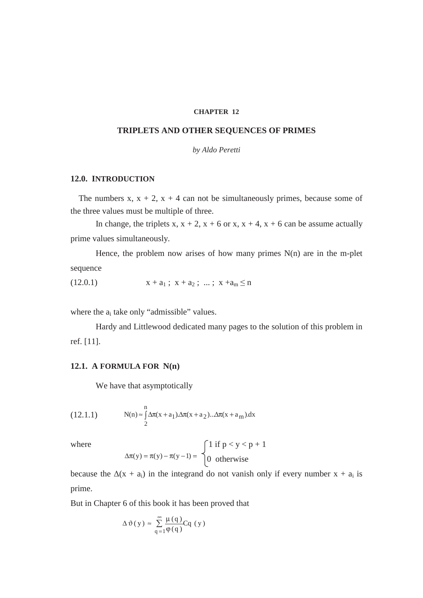## **CHAPTER 12**

## **TRIPLETS AND OTHER SEQUENCES OF PRIMES**

*by Aldo Peretti* 

## **12.0. INTRODUCTION**

The numbers x,  $x + 2$ ,  $x + 4$  can not be simultaneously primes, because some of the three values must be multiple of three.

In change, the triplets x,  $x + 2$ ,  $x + 6$  or x,  $x + 4$ ,  $x + 6$  can be assume actually prime values simultaneously.

Hence, the problem now arises of how many primes  $N(n)$  are in the m-plet sequence

$$
(12.0.1) \t x + a_1 ; x + a_2 ; ... ; x + a_m \le n
$$

where the  $a_i$  take only "admissible" values.

 Hardy and Littlewood dedicated many pages to the solution of this problem in ref. [11].

## **12.1. A FORMULA FOR N(n)**

We have that asymptotically

(12.1.1) 
$$
N(n) \approx \int_{2}^{n} \Delta \pi(x + a_1) \Delta \pi(x + a_2) \dots \Delta \pi(x + a_m) dx
$$

where  
\n
$$
\Delta \pi(y) = \pi(y) - \pi(y-1) = \begin{cases} 1 & \text{if } p < y < p+1 \\ 0 & \text{otherwise} \end{cases}
$$

because the  $\Delta(x + a_i)$  in the integrand do not vanish only if every number  $x + a_i$  is prime.

But in Chapter 6 of this book it has been proved that

$$
\Delta \vartheta(y) \approx \sum_{q=1}^{\infty} \frac{\mu(q)}{\varphi(q)} Cq (y)
$$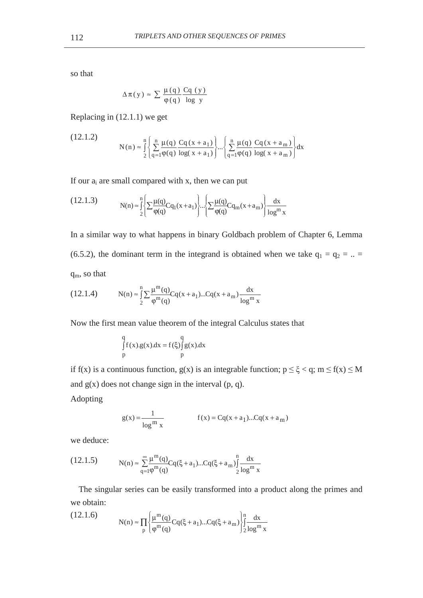so that

$$
\Delta \pi(y) \approx \sum \frac{\mu(q)}{\varphi(q)} \frac{Cq(y)}{\log y}
$$

Replacing in (12.1.1) we get

(12.1.2) 
$$
N(n) \approx \int_{2}^{n} \left\{ \sum_{q=1}^{n} \frac{\mu(q)}{\phi(q)} \frac{Cq(x+a_{1})}{\log(x+a_{1})} \right\} \cdots \left\{ \sum_{q=1}^{n} \frac{\mu(q)}{\phi(q)} \frac{Cq(x+a_{m})}{\log(x+a_{m})} \right\} dx
$$

If our  $a_i$  are small compared with x, then we can put

(12.1.3) 
$$
N(n) \approx \int_{2}^{n} \left\{ \sum \frac{\mu(q)}{\phi(q)} C q_1(x + a_1) \right\} \cdot \cdot \left\{ \sum \frac{\mu(q)}{\phi(q)} C q_m(x + a_m) \right\} \frac{dx}{\log^m x}
$$

In a similar way to what happens in binary Goldbach problem of Chapter 6, Lemma (6.5.2), the dominant term in the integrand is obtained when we take  $q_1 = q_2 = ... =$  $q_m$ , so that

(12.1.4) 
$$
N(n) \approx \int_{2}^{n} \sum \frac{\mu^{m}(q)}{\varphi^{m}(q)} Cq(x + a_{1})...Cq(x + a_{m}) \frac{dx}{\log^{m} x}
$$

Now the first mean value theorem of the integral Calculus states that

$$
\int_{p}^{q} f(x).g(x).dx = f(\xi) \int_{p}^{q} g(x).dx
$$

if f(x) is a continuous function,  $g(x)$  is an integrable function;  $p \le \xi < q$ ;  $m \le f(x) \le M$ and  $g(x)$  does not change sign in the interval  $(p, q)$ .

Adopting

$$
g(x) = \frac{1}{\log^{m} x} \qquad f(x) = Cq(x + a_1)...Cq(x + a_m)
$$

we deduce:

$$
(12.1.5) \tN(n) \approx \sum_{q=1}^{\infty} \frac{\mu^{m}(q)}{q^{m}(q)} Cq(\xi + a_1)...Cq(\xi + a_m) \int_{2}^{n} \frac{dx}{\log^{m} x}
$$

The singular series can be easily transformed into a product along the primes and we obtain:

(12.1.6) 
$$
N(n) \approx \prod_{p} \left\{ \frac{\mu^{m}(q)}{\varphi^{m}(q)} C q(\xi + a_1) ... C q(\xi + a_m) \right\} \int_{2}^{n} \frac{dx}{\log^{m} x}
$$